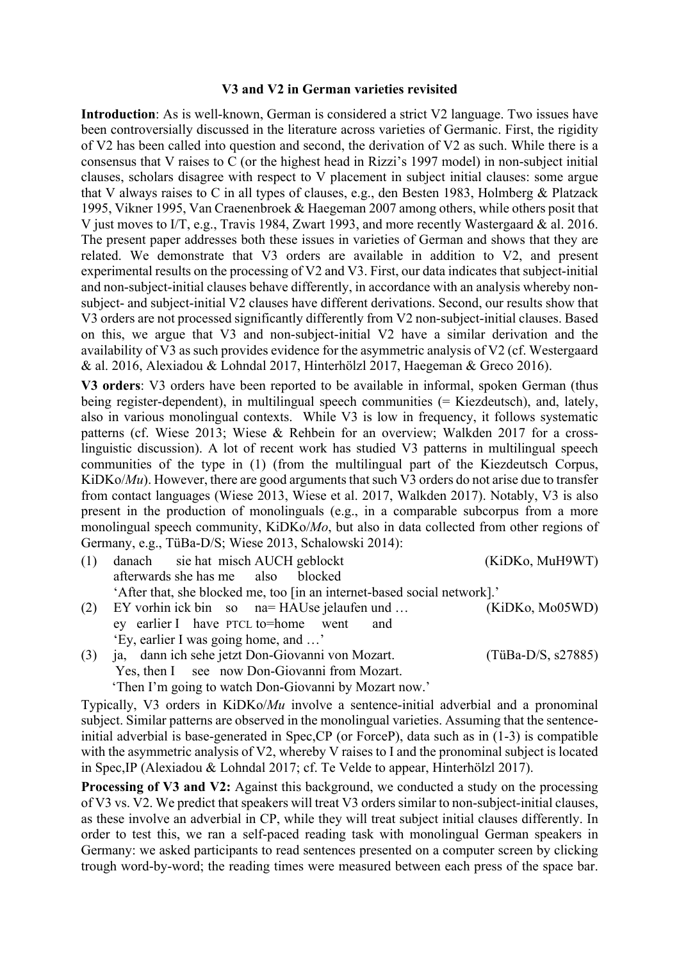## **V3 and V2 in German varieties revisited**

**Introduction**: As is well-known, German is considered a strict V2 language. Two issues have been controversially discussed in the literature across varieties of Germanic. First, the rigidity of V2 has been called into question and second, the derivation of V2 as such. While there is a consensus that V raises to C (or the highest head in Rizzi's 1997 model) in non-subject initial clauses, scholars disagree with respect to V placement in subject initial clauses: some argue that V always raises to C in all types of clauses, e.g., den Besten 1983, Holmberg & Platzack 1995, Vikner 1995, Van Craenenbroek & Haegeman 2007 among others, while others posit that V just moves to I/T, e.g., Travis 1984, Zwart 1993, and more recently Wastergaard & al. 2016. The present paper addresses both these issues in varieties of German and shows that they are related. We demonstrate that V3 orders are available in addition to V2, and present experimental results on the processing of V2 and V3. First, our data indicates that subject-initial and non-subject-initial clauses behave differently, in accordance with an analysis whereby nonsubject- and subject-initial V2 clauses have different derivations. Second, our results show that V3 orders are not processed significantly differently from V2 non-subject-initial clauses. Based on this, we argue that V3 and non-subject-initial V2 have a similar derivation and the availability of V3 as such provides evidence for the asymmetric analysis of V2 (cf. Westergaard & al. 2016, Alexiadou & Lohndal 2017, Hinterhölzl 2017, Haegeman & Greco 2016).

**V3 orders**: V3 orders have been reported to be available in informal, spoken German (thus being register-dependent), in multilingual speech communities (= Kiezdeutsch), and, lately, also in various monolingual contexts. While V3 is low in frequency, it follows systematic patterns (cf. Wiese 2013; Wiese & Rehbein for an overview; Walkden 2017 for a crosslinguistic discussion). A lot of recent work has studied V3 patterns in multilingual speech communities of the type in (1) (from the multilingual part of the Kiezdeutsch Corpus, KiDKo/*Mu*). However, there are good arguments that such V3 orders do not arise due to transfer from contact languages (Wiese 2013, Wiese et al. 2017, Walkden 2017). Notably, V3 is also present in the production of monolinguals (e.g., in a comparable subcorpus from a more monolingual speech community, KiDKo/*Mo*, but also in data collected from other regions of Germany, e.g., TüBa-D/S; Wiese 2013, Schalowski 2014):

- (1) danach sie hat misch AUCH geblockt (KiDKo, MuH9WT) afterwards she has me also blocked 'After that, she blocked me, too [in an internet-based social network].' (2) EY vorhin ick bin so na= HAUse jelaufen und … (KiDKo, Mo05WD)
- ey earlier I have PTCL to=home went and 'Ey, earlier I was going home, and …' (3) ja, dann ich sehe jetzt Don-Giovanni von Mozart. (TüBa-D/S, s27885)
- Yes, then I see now Don-Giovanni from Mozart. 'Then I'm going to watch Don-Giovanni by Mozart now.'

Typically, V3 orders in KiDKo/*Mu* involve a sentence-initial adverbial and a pronominal subject. Similar patterns are observed in the monolingual varieties. Assuming that the sentenceinitial adverbial is base-generated in Spec,CP (or ForceP), data such as in (1-3) is compatible with the asymmetric analysis of V2, whereby V raises to I and the pronominal subject is located in Spec,IP (Alexiadou & Lohndal 2017; cf. Te Velde to appear, Hinterhölzl 2017).

**Processing of V3 and V2:** Against this background, we conducted a study on the processing of V3 vs. V2. We predict that speakers will treat V3 orders similar to non-subject-initial clauses, as these involve an adverbial in CP, while they will treat subject initial clauses differently. In order to test this, we ran a self-paced reading task with monolingual German speakers in Germany: we asked participants to read sentences presented on a computer screen by clicking trough word-by-word; the reading times were measured between each press of the space bar.